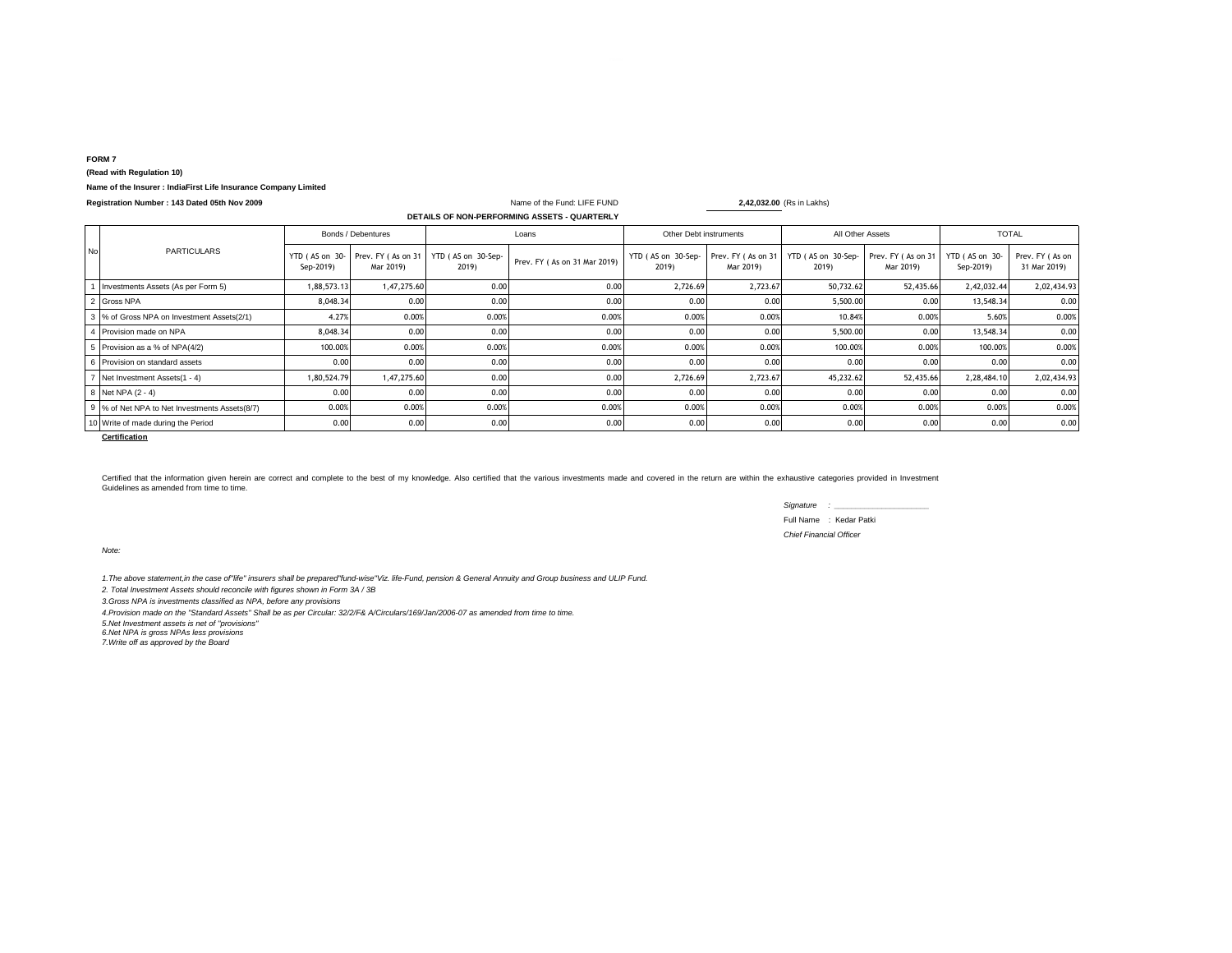### **FORM 7**

## **(Read with Regulation 10)**

## **Name of the Insurer : IndiaFirst Life Insurance Company Limited**

| Registration Number: 143 Dated 05th Nov 2009 |  |  |  |
|----------------------------------------------|--|--|--|
|----------------------------------------------|--|--|--|

|           | DETAILS OF NON-PERFORMING ASSETS - QUARTERLY |             |                    |                                                                |                              |                             |                                 |                             |                                 |                             |                                 |  |
|-----------|----------------------------------------------|-------------|--------------------|----------------------------------------------------------------|------------------------------|-----------------------------|---------------------------------|-----------------------------|---------------------------------|-----------------------------|---------------------------------|--|
|           | <b>PARTICULARS</b>                           |             | Bonds / Debentures |                                                                | Loans                        |                             | Other Debt instruments          |                             | All Other Assets                |                             | <b>TOTAL</b>                    |  |
| <b>No</b> |                                              | Sep-2019)   | Mar 2019)          | YTD (AS on 30-Prev. FY (As on 31   YTD (AS on 30-Sep-<br>2019) | Prev. FY (As on 31 Mar 2019) | YTD (AS on 30-Sep-<br>2019) | Prev. FY (As on 31<br>Mar 2019) | YTD (AS on 30-Sep-<br>2019) | Prev. FY (As on 31<br>Mar 2019) | YTD (AS on 30-<br>Sep-2019) | Prev. FY (As on<br>31 Mar 2019) |  |
|           | Investments Assets (As per Form 5)           | 1,88,573.13 | 1,47,275.60        | 0.00                                                           | 0.00                         | 2,726.69                    | 2,723.67                        | 50,732.62                   | 52,435.66                       | 2,42,032.44                 | 2,02,434.93                     |  |
|           | 2 Gross NPA                                  | 8,048.34    | 0.00               | 0.00                                                           | 0.00                         | 0.00                        | 0.00                            | 5,500.00                    | 0.00                            | 13,548.34                   | 0.00                            |  |
|           | 3 % of Gross NPA on Investment Assets(2/1)   | 4.27%       | 0.00%              | 0.00%                                                          | 0.00%                        | 0.00%                       | 0.009                           | 10.84%                      | 0.00%                           | 5.60%                       | 0.00%                           |  |
|           | Provision made on NPA                        | 8,048.34    | 0.00               | 0.00                                                           | 0.00                         | 0.00                        | 0.00                            | 5,500.00                    | 0.00                            | 13.548.34                   | 0.00                            |  |
|           | Provision as a % of NPA(4/2)                 | 100.00%     | 0.00%              | 0.00%                                                          | 0.00%                        | 0.00%                       | 0.009                           | 100.00%                     | 0.00%                           | 100.00%                     | 0.00%                           |  |
|           | Provision on standard assets                 | 0.00        | 0.00               | 0.00                                                           | 0.00                         | 0.00                        | 0.00                            | 0.00                        | 0.00                            | 0.00                        | 0.00                            |  |
|           | Net Investment Assets(1 - 4)                 | 1,80,524.79 | 1,47,275.60        | 0.00                                                           | 0.00                         | 2,726.69                    | 2,723.67                        | 45,232.62                   | 52,435.66                       | 2,28,484.10                 | 2,02,434.93                     |  |
|           | 8 Net NPA (2 - 4)                            | 0.00        | 0.00               | 0.00                                                           | 0.00                         | 0.00                        | 0.00                            | 0.00                        | 0.00                            | 0.00                        | 0.00                            |  |
|           | % of Net NPA to Net Investments Assets(8/7)  | 0.00%       | 0.00%              | 0.00%                                                          | 0.00%                        | 0.00%                       | 0.00%                           | 0.00%                       | 0.00%                           | 0.00%                       | 0.00%                           |  |
|           | 10 Write of made during the Period           | 0.00        | 0.00               | 0.00                                                           | 0.00                         | 0.00                        | 0.00                            | 0.00                        | 0.00                            | 0.00                        | 0.00                            |  |

Name of the Fund: LIFE FUND **2,42,032.00** (Rs in Lakhs)

Certified that the information given herein are correct and complete to the best of my knowledge. Also certified that the various investments made and covered in the return are within the exhaustive categories provided in Guidelines as amended from time to time.

> *Signature : \_\_\_\_\_\_\_\_\_\_\_\_\_\_\_\_\_\_\_\_\_\_* Full Name : Kedar Patki *Chief Financial Officer*

*Note:*

*1.The above statement,in the case of"life" insurers shall be prepared"fund-wise"Viz. life-Fund, pension & General Annuity and Group business and ULIP Fund.*

*2. Total Investment Assets should reconcile with figures shown in Form 3A / 3B*

*3.Gross NPA is investments classified as NPA, before any provisions*

*4.Provision made on the "Standard Assets" Shall be as per Circular: 32/2/F& A/Circulars/169/Jan/2006-07 as amended from time to time.*

*5.Net Investment assets is net of ''provisions''*

*6.Net NPA is gross NPAs less provisions 7.Write off as approved by the Board*

**Certification**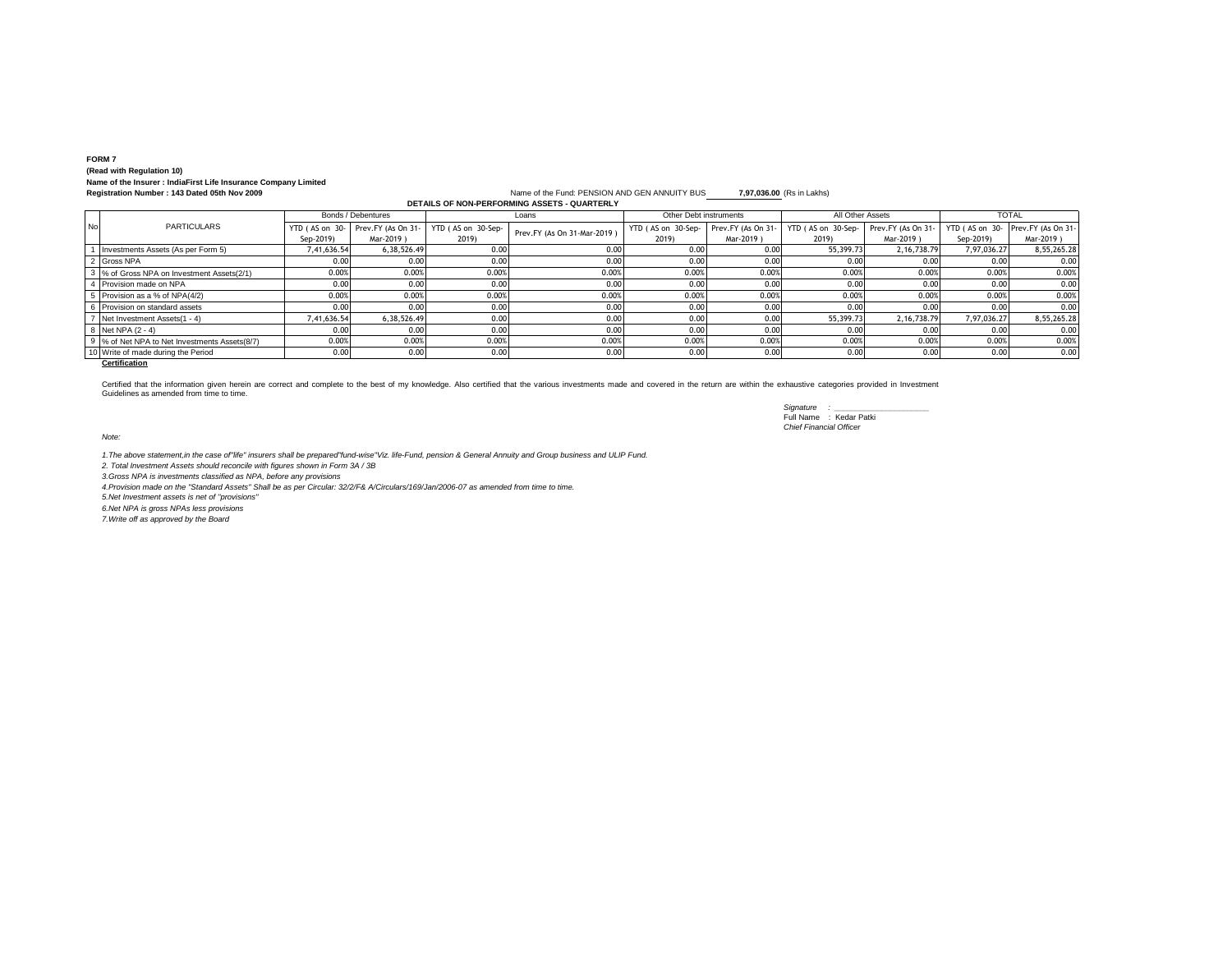# **FORM 7 (Read with Regulation 10) Name of the Insurer : IndiaFirst Life Insurance Company Limited**

#### **Registration Number : 143 Dated 05th Nov 2009** Name of the Fund: PENSION AND GEN ANNUITY BUS **7,97,036.00** (Rs in Lakhs) **DETAILS OF NON-PERFORMING ASSETS - QUARTERLY**

|     |                                             | Bonds / Debentures |                                  | Loans              |                             | Other Debt instruments |                    | All Other Assets   |                    | <b>TOTAL</b> |                                  |
|-----|---------------------------------------------|--------------------|----------------------------------|--------------------|-----------------------------|------------------------|--------------------|--------------------|--------------------|--------------|----------------------------------|
| No. | <b>PARTICULARS</b>                          |                    | YTD (AS on 30-Prev.FY (As On 31- | YTD (AS on 30-Sep- | Prev.FY (As On 31-Mar-2019) | YTD (AS on 30-Sep-     | Prev.FY (As On 31- | YTD (AS on 30-Sep- | Prev.FY (As On 31- |              | YTD (AS on 30-Prev.FY (As On 31- |
|     |                                             | Sep-2019)          | Mar-2019)                        | 2019)              |                             | 2019)                  | Mar-2019)          | 2019)              | Mar-2019)          | Sep-2019)    | Mar-2019)                        |
|     | Investments Assets (As per Form 5)          | 7.41.636.54        | 6.38.526.49                      | 0.00               | 0.00                        | 0.00                   | 0.00               | 55,399.73          | 2.16.738.79        | 7.97.036.27  | 8,55,265.28                      |
|     | Gross NPA                                   | 0.00               | 0.00                             | 0.00               | 0.00                        | 0.00                   | 0.00               | 0.00               | 0.00               | 0.00         | 0.00                             |
|     | 3 % of Gross NPA on Investment Assets(2/1)  | 0.00%              | 0.00%                            | 0.00%              | 0.00%                       | 0.00%                  | 0.00%              | 0.00%              | 0.00%              | 0.009        | 0.00%                            |
|     | Provision made on NPA                       | 0.00               | 0.00                             | 0.00               | 0.00                        | 0.00                   | 0.00               | 0.00               | 0.00               | 0.00         | 0.00                             |
|     | Provision as a % of NPA(4/2)                | 0.00%              | 0.00%                            | 0.00%              | 0.00%                       | 0.00%                  | 0.009              | 0.00%              | 0.009              | 0.002        | 0.00%                            |
|     | Provision on standard assets                | 0.00               | 0.00                             | 0.00               | 0.00                        | 0.00                   | 0.00               | 0.00               | 0.00               | 0.00         | 0.00                             |
|     | Net Investment Assets(1 - 4)                | 7,41,636.54        | 6,38,526.49                      | 0.00               | 0.00                        | 0.00                   | 0.00               | 55,399.73          | 2, 16, 738. 79     | 7,97,036.27  | 8,55,265.28                      |
|     | Net NPA (2 - 4)                             | 0.00               | 0.00                             | 0.00               | 0.00                        | 0.00                   | 0.00               | 0.00               | 0.00               | 0.00         | 0.00                             |
|     | % of Net NPA to Net Investments Assets(8/7) | 0.00%              | 0.00%                            | 0.00%              | 0.00%                       | 0.00%                  | 0.009              | 0.00%              | 0.00%              | 0.009        | 0.00%                            |
|     | 10 Write of made during the Period          | 0.00               | 0.00                             | 0.00               | 0.00                        | 0.00                   | 0.00               | 0.00               | 0.00               | 0.00         | 0.00                             |

## **Certification**

Certified that the information given herein are correct and complete to the best of my knowledge. Also certified that the various investments made and covered in the return are within the exhaustive categories provided in

*Signature : \_\_\_\_\_\_\_\_\_\_\_\_\_\_\_\_\_\_\_\_\_\_* Full Name : Kedar Patki *Chief Financial Officer*

*Note:*

1.The above statement,in the case of"life" insurers shall be prepared"fund-wise"Viz. life-Fund, pension & General Annuity and Group business and ULIP Fund.<br>2. Total Investment Assets should reconcile with figures shown in

*3.Gross NPA is investments classified as NPA, before any provisions*

*4.Provision made on the "Standard Assets" Shall be as per Circular: 32/2/F& A/Circulars/169/Jan/2006-07 as amended from time to time.*

*5.Net Investment assets is net of ''provisions''*

*6.Net NPA is gross NPAs less provisions*

*7.Write off as approved by the Board*